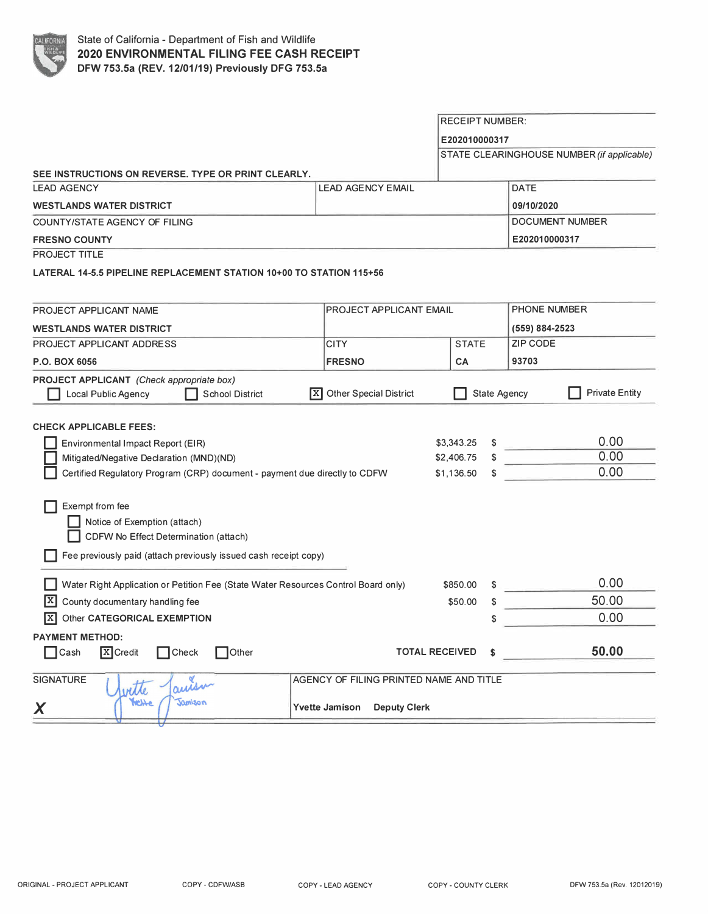|                                                                                                                                                                                              |                                              | <b>RECEIPT NUMBER:</b>                 |                     |                 |                                            |  |  |
|----------------------------------------------------------------------------------------------------------------------------------------------------------------------------------------------|----------------------------------------------|----------------------------------------|---------------------|-----------------|--------------------------------------------|--|--|
|                                                                                                                                                                                              |                                              | E202010000317                          |                     |                 |                                            |  |  |
|                                                                                                                                                                                              |                                              |                                        |                     |                 | STATE CLEARINGHOUSE NUMBER (if applicable) |  |  |
| SEE INSTRUCTIONS ON REVERSE. TYPE OR PRINT CLEARLY.                                                                                                                                          |                                              |                                        |                     |                 |                                            |  |  |
| <b>LEAD AGENCY</b>                                                                                                                                                                           | <b>LEAD AGENCY EMAIL</b>                     |                                        |                     | DATE            |                                            |  |  |
| <b>WESTLANDS WATER DISTRICT</b>                                                                                                                                                              |                                              |                                        |                     | 09/10/2020      |                                            |  |  |
| COUNTY/STATE AGENCY OF FILING                                                                                                                                                                |                                              |                                        |                     |                 | <b>DOCUMENT NUMBER</b>                     |  |  |
| <b>FRESNO COUNTY</b>                                                                                                                                                                         |                                              | E202010000317                          |                     |                 |                                            |  |  |
| <b>PROJECT TITLE</b>                                                                                                                                                                         |                                              |                                        |                     |                 |                                            |  |  |
| LATERAL 14-5.5 PIPELINE REPLACEMENT STATION 10+00 TO STATION 115+56                                                                                                                          |                                              |                                        |                     |                 |                                            |  |  |
|                                                                                                                                                                                              |                                              |                                        |                     |                 |                                            |  |  |
| PROJECT APPLICANT NAME                                                                                                                                                                       |                                              | PROJECT APPLICANT EMAIL                |                     |                 | PHONE NUMBER                               |  |  |
| <b>WESTLANDS WATER DISTRICT</b>                                                                                                                                                              |                                              |                                        |                     | (559) 884-2523  |                                            |  |  |
| <b>PROJECT APPLICANT ADDRESS</b>                                                                                                                                                             | <b>CITY</b>                                  | <b>STATE</b>                           |                     | <b>ZIP CODE</b> |                                            |  |  |
| P.O. BOX 6056                                                                                                                                                                                | <b>FRESNO</b>                                | CA                                     |                     | 93703           |                                            |  |  |
| PROJECT APPLICANT (Check appropriate box)                                                                                                                                                    |                                              |                                        |                     |                 |                                            |  |  |
| Local Public Agency<br><b>School District</b><br>Ixl                                                                                                                                         | <b>Other Special District</b>                |                                        | <b>State Agency</b> |                 | <b>Private Entity</b>                      |  |  |
| <b>CHECK APPLICABLE FEES:</b><br>Environmental Impact Report (EIR)<br>Mitigated/Negative Declaration (MND)(ND)<br>Certified Regulatory Program (CRP) document - payment due directly to CDFW |                                              | \$3,343.25<br>\$2,406.75<br>\$1,136.50 |                     | $\frac{1}{2}$   | 0.00<br>0.00<br>0.00                       |  |  |
| Exempt from fee<br>Notice of Exemption (attach)<br>CDFW No Effect Determination (attach)<br>Fee previously paid (attach previously issued cash receipt copy)                                 |                                              |                                        |                     |                 |                                            |  |  |
| Water Right Application or Petition Fee (State Water Resources Control Board only)                                                                                                           |                                              | \$850.00                               | \$                  |                 | 0.00                                       |  |  |
| x<br>County documentary handling fee                                                                                                                                                         |                                              | \$50.00                                | \$                  |                 | 50.00                                      |  |  |
| Other CATEGORICAL EXEMPTION<br>Ix                                                                                                                                                            |                                              |                                        | \$                  |                 | 0.00                                       |  |  |
| <b>PAYMENT METHOD:</b>                                                                                                                                                                       |                                              |                                        |                     |                 |                                            |  |  |
| Cash<br>$ X $ Credit<br>Check<br>Other                                                                                                                                                       |                                              | <b>TOTAL RECEIVED</b>                  | \$                  |                 | 50.00                                      |  |  |
| <b>SIGNATURE</b><br>auism<br>rette                                                                                                                                                           | AGENCY OF FILING PRINTED NAME AND TITLE      |                                        |                     |                 |                                            |  |  |
| <b>YICHE</b><br>Jamison<br>X                                                                                                                                                                 | <b>Deputy Clerk</b><br><b>Yvette Jamison</b> |                                        |                     |                 |                                            |  |  |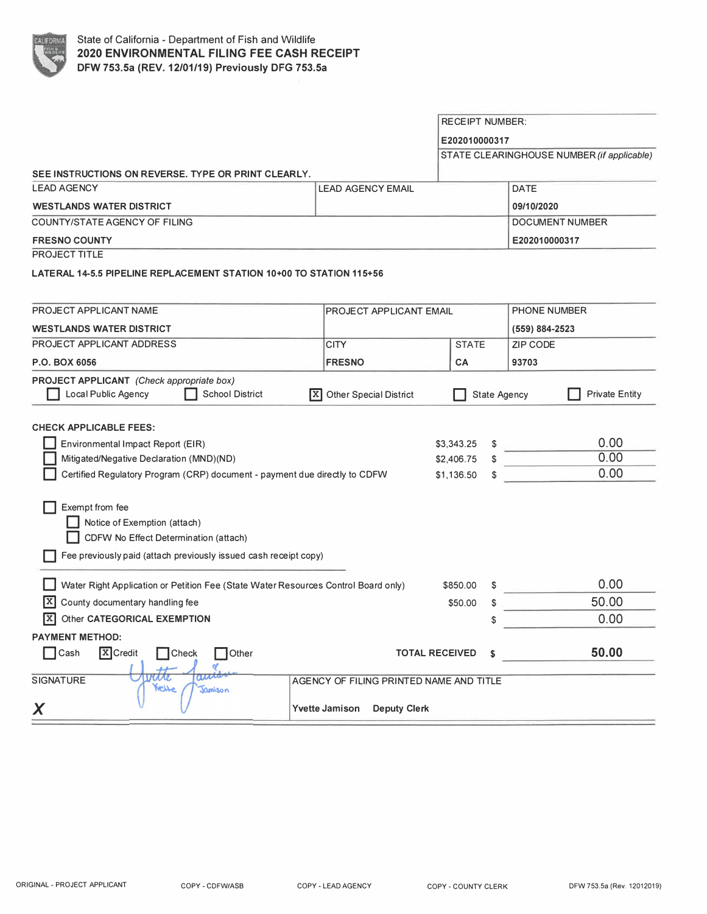|                                                                                          |                                                  |                         | <b>RECEIPT NUMBER:</b> |                      |                                            |  |  |  |
|------------------------------------------------------------------------------------------|--------------------------------------------------|-------------------------|------------------------|----------------------|--------------------------------------------|--|--|--|
|                                                                                          |                                                  | E202010000317           |                        |                      |                                            |  |  |  |
|                                                                                          |                                                  |                         |                        |                      | STATE CLEARINGHOUSE NUMBER (if applicable) |  |  |  |
| SEE INSTRUCTIONS ON REVERSE. TYPE OR PRINT CLEARLY.                                      |                                                  |                         |                        |                      |                                            |  |  |  |
| <b>LEAD AGENCY</b>                                                                       | <b>LEAD AGENCY EMAIL</b>                         |                         |                        | <b>DATE</b>          |                                            |  |  |  |
| <b>WESTLANDS WATER DISTRICT</b>                                                          |                                                  | 09/10/2020              |                        |                      |                                            |  |  |  |
| <b>COUNTY/STATE AGENCY OF FILING</b>                                                     |                                                  |                         |                        |                      | <b>DOCUMENT NUMBER</b>                     |  |  |  |
| <b>FRESNO COUNTY</b>                                                                     |                                                  | E202010000317           |                        |                      |                                            |  |  |  |
| PROJECT TITLE                                                                            |                                                  |                         |                        |                      |                                            |  |  |  |
| LATERAL 14-5.5 PIPELINE REPLACEMENT STATION 10+00 TO STATION 115+56                      |                                                  |                         |                        |                      |                                            |  |  |  |
|                                                                                          |                                                  |                         |                        |                      |                                            |  |  |  |
| PROJECT APPLICANT NAME                                                                   |                                                  | PROJECT APPLICANT EMAIL |                        |                      | <b>PHONE NUMBER</b>                        |  |  |  |
| <b>WESTLANDS WATER DISTRICT</b>                                                          |                                                  |                         |                        | (559) 884-2523       |                                            |  |  |  |
| PROJECT APPLICANT ADDRESS                                                                | <b>CITY</b>                                      | <b>STATE</b>            |                        | <b>ZIP CODE</b>      |                                            |  |  |  |
| P.O. BOX 6056                                                                            | <b>FRESNO</b>                                    | CA                      |                        | 93703                |                                            |  |  |  |
| PROJECT APPLICANT (Check appropriate box)                                                |                                                  |                         |                        |                      |                                            |  |  |  |
| Local Public Agency<br><b>School District</b>                                            | <b>Other Special District</b><br>Ixl             |                         | <b>State Agency</b>    |                      | <b>Private Entity</b>                      |  |  |  |
|                                                                                          |                                                  |                         |                        |                      |                                            |  |  |  |
| <b>CHECK APPLICABLE FEES:</b>                                                            |                                                  |                         |                        |                      |                                            |  |  |  |
| Environmental Impact Report (EIR)                                                        |                                                  | \$3,343.25              | \$                     | ر<br>مواليد المواليد | 0.00                                       |  |  |  |
| Mitigated/Negative Declaration (MND)(ND)                                                 |                                                  | \$2,406.75              |                        |                      | 0.00                                       |  |  |  |
| Certified Regulatory Program (CRP) document - payment due directly to CDFW<br>\$1,136.50 |                                                  |                         | \$                     |                      | 0.00                                       |  |  |  |
|                                                                                          |                                                  |                         |                        |                      |                                            |  |  |  |
| Exempt from fee                                                                          |                                                  |                         |                        |                      |                                            |  |  |  |
| Notice of Exemption (attach)                                                             |                                                  |                         |                        |                      |                                            |  |  |  |
| CDFW No Effect Determination (attach)                                                    |                                                  |                         |                        |                      |                                            |  |  |  |
| Fee previously paid (attach previously issued cash receipt copy)                         |                                                  |                         |                        |                      |                                            |  |  |  |
| Water Right Application or Petition Fee (State Water Resources Control Board only)       |                                                  | \$850.00                | \$                     |                      | 0.00                                       |  |  |  |
| lx<br>County documentary handling fee                                                    |                                                  | \$50.00                 | \$                     |                      | 50.00                                      |  |  |  |
| Other CATEGORICAL EXEMPTION<br> x                                                        |                                                  |                         | \$                     |                      | 0.00                                       |  |  |  |
| <b>PAYMENT METHOD:</b>                                                                   |                                                  |                         |                        |                      |                                            |  |  |  |
| <b>X</b> Credit<br>Check<br><b>TOTAL RECEIVED</b><br>Cash<br>Other                       |                                                  |                         |                        |                      | 50.00                                      |  |  |  |
|                                                                                          | \$                                               |                         |                        |                      |                                            |  |  |  |
| <b><i>BAAA</i></b><br><b>SIGNATURE</b><br>hehe                                           | witte<br>AGENCY OF FILING PRINTED NAME AND TITLE |                         |                        |                      |                                            |  |  |  |
| Jamison                                                                                  |                                                  |                         |                        |                      |                                            |  |  |  |
| Χ                                                                                        | <b>Deputy Clerk</b><br><b>Yvette Jamison</b>     |                         |                        |                      |                                            |  |  |  |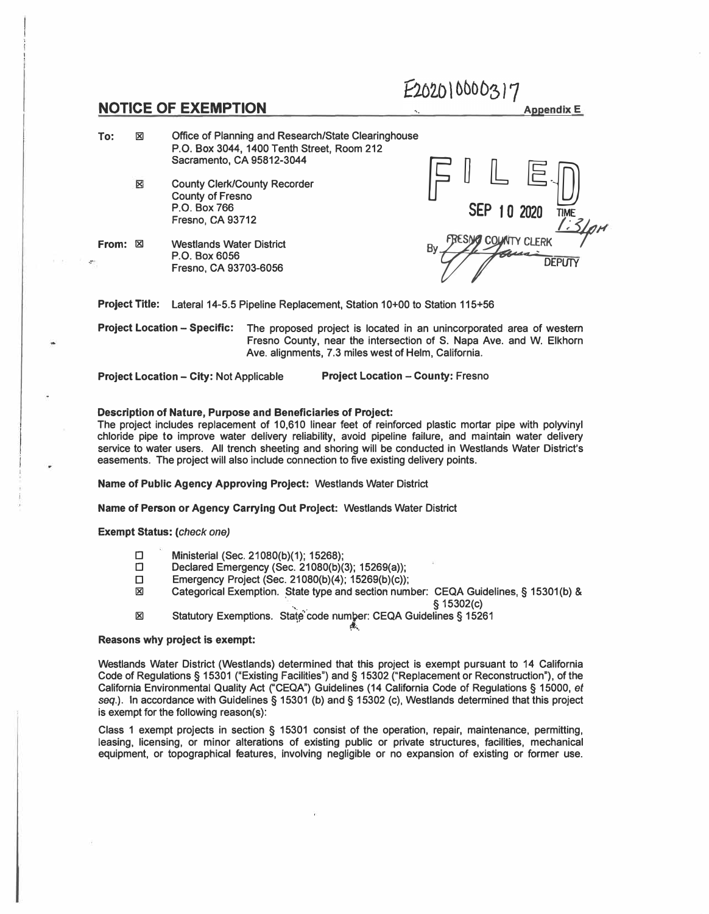## **NOTICE OF EXEMPTION** Appendix E

**To: 8 Office of Planning and Research/State Clearinghouse P.O. Box 3044, 1400 Tenth Street, Room 212 Sacramento, CA 95812-3044** 

- 冈 **County Clerk/County Recorder County of Fresno Fresno, CA 93712**
- **From:**  $\boxtimes$  **Westlands Water District P.O. Box 6056 Fresno, CA 93703-6056**

**Property Clerk/County Recorder**<br>
P.O. Box 766<br>
P.O. Box 766<br>
Frespo CA 93712 By FRESN**g** COUNTY CLERK 1:31pm DEPUTY

 $E202010000317$ 

**Project Title: Lateral 14-5.5 Pipeline Replacement, Station 10+00 to Station 115+56** 

**Project Location - Specific: The proposed project is located in an unincorporated area of western Fresno County, near the intersection of S. Napa Ave. and W. Elkhorn Ave. alignments, 7.3 miles west of Helm, California.** 

**Project Location - City: Not Applicable Project Location - County: Fresno** 

## **Description of Nature, Purpose and Beneficiaries of Project:**

**The project includes replacement of 10,610 linear feet of reinforced plastic mortar pipe with polyvinyl chloride pipe to improve water delivery reliability, avoid pipeline failure, and maintain water delivery service to water users. All trench sheeting and shoring will be conducted in Westlands Water District's easements. The project will also include connection to five existing delivery points.** 

**Name of Public Agency Approving Project: Westlands Water District** 

**Name of Person or Agency Carrying Out Project: Westlands Water District** 

**Exempt Status:** *(check one)* 

- *□* **Ministerial (Sec. 21080(b)(1); 15268);**
- *□* **Declared Emergency (Sec. 21080(b)(3); 15269(a));**
- □ **Emergency Project (Sec. 21080(b)(4); 15269(b)(c));**
- Categorical Exemption. State type and section number: CEQA Guidelines, § 15301(b) & **., § 15302(c)**
- **18.1 Statutory Exemptions. State'code numt?er: CEQA Guidelines§ 15261**  " �--

## **Reasons why project is exempt:**

**Westlands Water District (Westlands) determined that this project is exempt pursuant to 14 California Code of Regulations § 15301 ("Existing Facilities") and § 15302 ("Replacement or Reconstruction"), of the California Environmental Quality Act ("CEQA") Guidelines (14 California Code of Regulations § 15000,** *et seq.).* **In accordance with Guidelines § 15301 (b) and § 15302 (c), Westlands determined that this project is exempt for the following reason(s):** 

**Class 1 exempt projects in section § 15301 consist of the operation, repair, maintenance, permitting, leasing, licensing, or minor alterations of existing public or private structures, facilities, mechanical equipment, or topographical features, involving negligible or no expansion of existing or former use.**